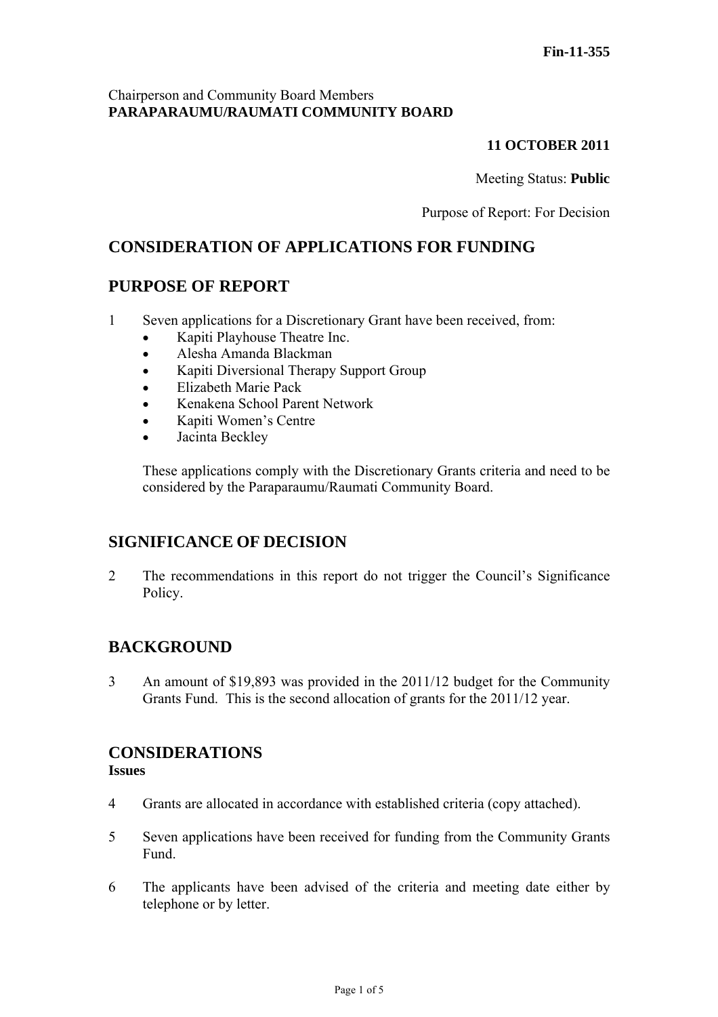## Chairperson and Community Board Members **PARAPARAUMU/RAUMATI COMMUNITY BOARD**

# **11 OCTOBER 2011**

Meeting Status: **Public**

Purpose of Report: For Decision

# **CONSIDERATION OF APPLICATIONS FOR FUNDING**

# **PURPOSE OF REPORT**

- 1 Seven applications for a Discretionary Grant have been received, from:
	- Kapiti Playhouse Theatre Inc.
	- Alesha Amanda Blackman
	- Kapiti Diversional Therapy Support Group
	- Elizabeth Marie Pack
	- Kenakena School Parent Network
	- Kapiti Women's Centre
	- Jacinta Beckley

These applications comply with the Discretionary Grants criteria and need to be considered by the Paraparaumu/Raumati Community Board.

# **SIGNIFICANCE OF DECISION**

2 The recommendations in this report do not trigger the Council's Significance Policy.

# **BACKGROUND**

3 An amount of \$19,893 was provided in the 2011/12 budget for the Community Grants Fund. This is the second allocation of grants for the 2011/12 year.

# **CONSIDERATIONS**

## **Issues**

- 4 Grants are allocated in accordance with established criteria (copy attached).
- 5 Seven applications have been received for funding from the Community Grants Fund.
- 6 The applicants have been advised of the criteria and meeting date either by telephone or by letter.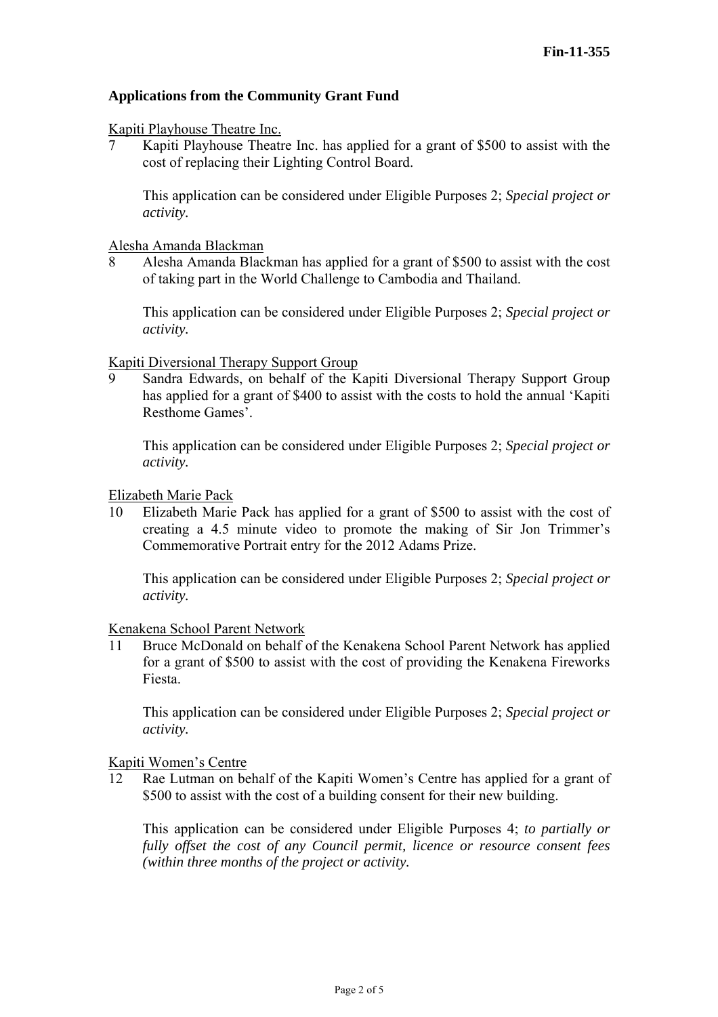## **Applications from the Community Grant Fund**

### Kapiti Playhouse Theatre Inc.

7 Kapiti Playhouse Theatre Inc. has applied for a grant of \$500 to assist with the cost of replacing their Lighting Control Board.

This application can be considered under Eligible Purposes 2; *Special project or activity.* 

### Alesha Amanda Blackman

8 Alesha Amanda Blackman has applied for a grant of \$500 to assist with the cost of taking part in the World Challenge to Cambodia and Thailand.

This application can be considered under Eligible Purposes 2; *Special project or activity.* 

### Kapiti Diversional Therapy Support Group

9 Sandra Edwards, on behalf of the Kapiti Diversional Therapy Support Group has applied for a grant of \$400 to assist with the costs to hold the annual 'Kapiti Resthome Games'.

This application can be considered under Eligible Purposes 2; *Special project or activity.* 

### Elizabeth Marie Pack

10 Elizabeth Marie Pack has applied for a grant of \$500 to assist with the cost of creating a 4.5 minute video to promote the making of Sir Jon Trimmer's Commemorative Portrait entry for the 2012 Adams Prize.

This application can be considered under Eligible Purposes 2; *Special project or activity.* 

#### Kenakena School Parent Network

11 Bruce McDonald on behalf of the Kenakena School Parent Network has applied for a grant of \$500 to assist with the cost of providing the Kenakena Fireworks Fiesta.

This application can be considered under Eligible Purposes 2; *Special project or activity.* 

#### Kapiti Women's Centre

12 Rae Lutman on behalf of the Kapiti Women's Centre has applied for a grant of \$500 to assist with the cost of a building consent for their new building.

This application can be considered under Eligible Purposes 4; *to partially or fully offset the cost of any Council permit, licence or resource consent fees (within three months of the project or activity.*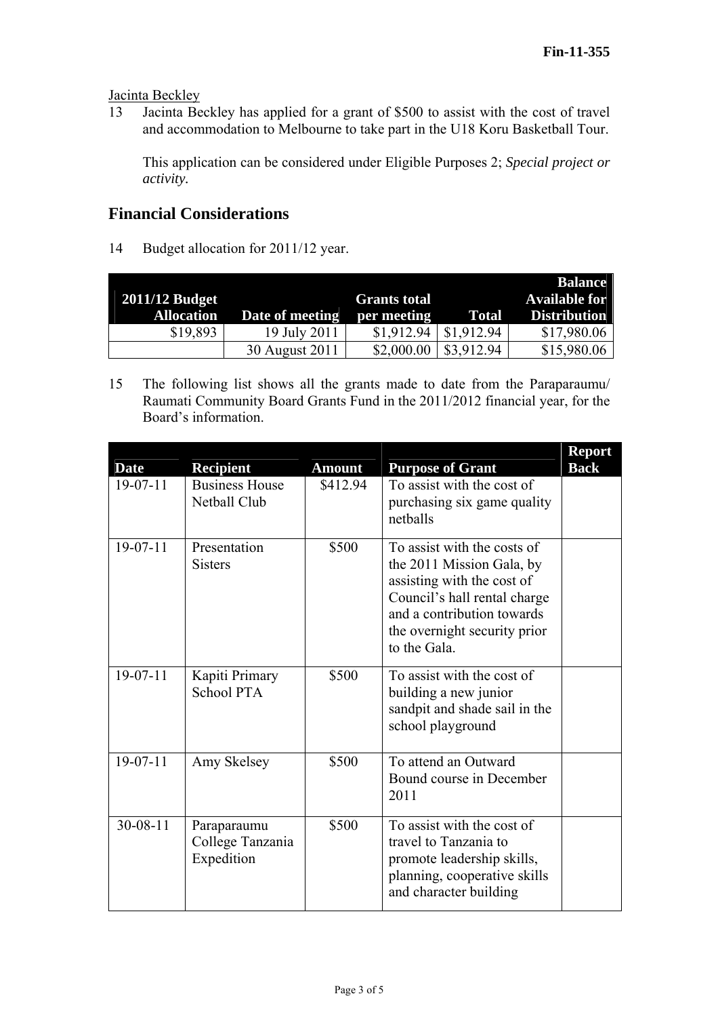Jacinta Beckley

13 Jacinta Beckley has applied for a grant of \$500 to assist with the cost of travel and accommodation to Melbourne to take part in the U18 Koru Basketball Tour.

This application can be considered under Eligible Purposes 2; *Special project or activity.* 

# **Financial Considerations**

14 Budget allocation for 2011/12 year.

| <b>2011/12 Budget</b> |                 | <b>Grants total</b> |              | <b>Balance</b><br><b>Available for</b> |
|-----------------------|-----------------|---------------------|--------------|----------------------------------------|
| <b>Allocation</b>     | Date of meeting | per meeting         | <b>Total</b> | <b>Distribution</b>                    |
| \$19,893              | 19 July 2011    | \$1,912.94          | \$1,912.94   | \$17,980.06                            |
|                       | 30 August 2011  | \$2,000.00          | \$3,912.94   | \$15,980.06                            |

15 The following list shows all the grants made to date from the Paraparaumu/ Raumati Community Board Grants Fund in the 2011/2012 financial year, for the Board's information.

| <b>Date</b>    | <b>Recipient</b>                              | <b>Amount</b> | <b>Purpose of Grant</b>                                                                                                                                                                              | <b>Report</b><br><b>Back</b> |
|----------------|-----------------------------------------------|---------------|------------------------------------------------------------------------------------------------------------------------------------------------------------------------------------------------------|------------------------------|
| $19-07-11$     | <b>Business House</b><br>Netball Club         | \$412.94      | To assist with the cost of<br>purchasing six game quality<br>netballs                                                                                                                                |                              |
| $19-07-11$     | Presentation<br><b>Sisters</b>                | \$500         | To assist with the costs of<br>the 2011 Mission Gala, by<br>assisting with the cost of<br>Council's hall rental charge<br>and a contribution towards<br>the overnight security prior<br>to the Gala. |                              |
| $19-07-11$     | Kapiti Primary<br><b>School PTA</b>           | \$500         | To assist with the cost of<br>building a new junior<br>sandpit and shade sail in the<br>school playground                                                                                            |                              |
| $19-07-11$     | Amy Skelsey                                   | \$500         | To attend an Outward<br>Bound course in December<br>2011                                                                                                                                             |                              |
| $30 - 08 - 11$ | Paraparaumu<br>College Tanzania<br>Expedition | \$500         | To assist with the cost of<br>travel to Tanzania to<br>promote leadership skills,<br>planning, cooperative skills<br>and character building                                                          |                              |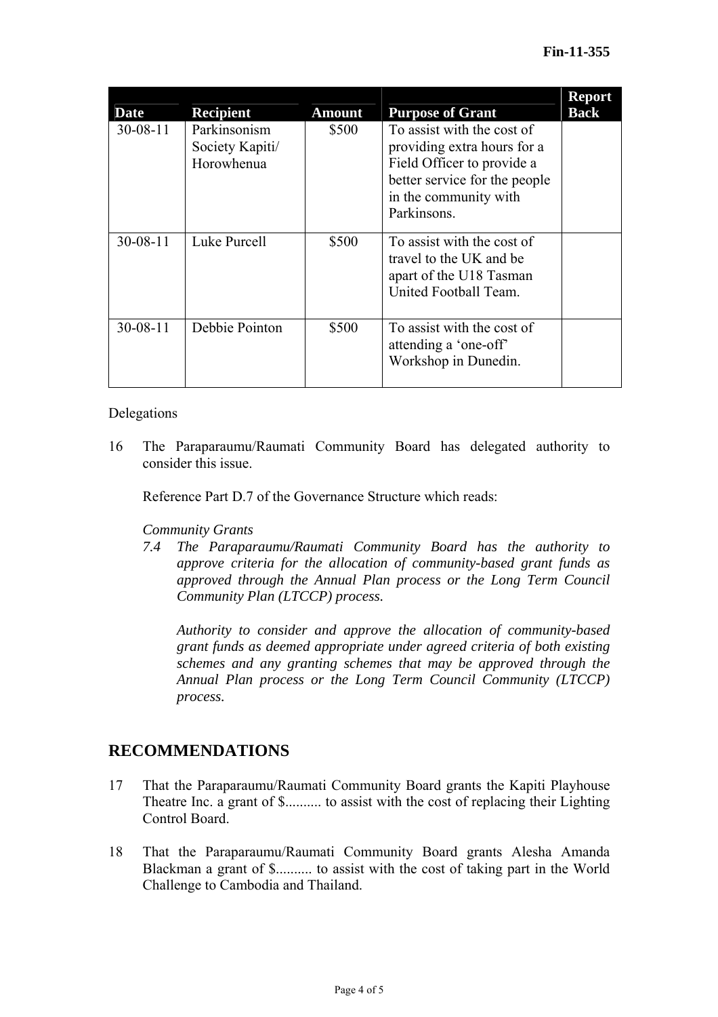| <b>Date</b>    | <b>Recipient</b>                              | <b>Amount</b> | <b>Purpose of Grant</b>                                                                                                                                          | <b>Report</b><br><b>Back</b> |
|----------------|-----------------------------------------------|---------------|------------------------------------------------------------------------------------------------------------------------------------------------------------------|------------------------------|
| $30 - 08 - 11$ | Parkinsonism<br>Society Kapiti/<br>Horowhenua | \$500         | To assist with the cost of<br>providing extra hours for a<br>Field Officer to provide a<br>better service for the people<br>in the community with<br>Parkinsons. |                              |
| $30 - 08 - 11$ | Luke Purcell                                  | \$500         | To assist with the cost of<br>travel to the UK and be<br>apart of the U18 Tasman<br>United Football Team.                                                        |                              |
| $30 - 08 - 11$ | Debbie Pointon                                | \$500         | To assist with the cost of<br>attending a 'one-off'<br>Workshop in Dunedin.                                                                                      |                              |

### Delegations

16 The Paraparaumu/Raumati Community Board has delegated authority to consider this issue.

Reference Part D.7 of the Governance Structure which reads:

## *Community Grants*

*7.4 The Paraparaumu/Raumati Community Board has the authority to approve criteria for the allocation of community-based grant funds as approved through the Annual Plan process or the Long Term Council Community Plan (LTCCP) process.* 

*Authority to consider and approve the allocation of community-based grant funds as deemed appropriate under agreed criteria of both existing schemes and any granting schemes that may be approved through the Annual Plan process or the Long Term Council Community (LTCCP) process.* 

# **RECOMMENDATIONS**

- 17 That the Paraparaumu/Raumati Community Board grants the Kapiti Playhouse Theatre Inc. a grant of \$.......... to assist with the cost of replacing their Lighting Control Board.
- 18 That the Paraparaumu/Raumati Community Board grants Alesha Amanda Blackman a grant of \$.......... to assist with the cost of taking part in the World Challenge to Cambodia and Thailand.